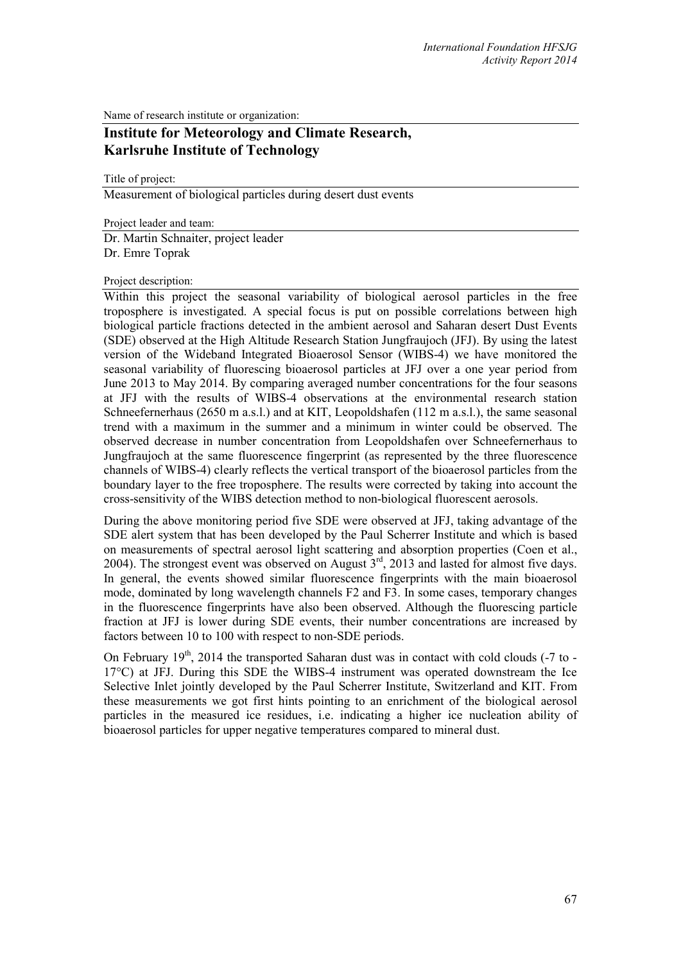Name of research institute or organization:

## **Institute for Meteorology and Climate Research, Karlsruhe Institute of Technology**

Title of project:

Measurement of biological particles during desert dust events

Project leader and team:

Dr. Martin Schnaiter, project leader Dr. Emre Toprak

## Project description:

Within this project the seasonal variability of biological aerosol particles in the free troposphere is investigated. A special focus is put on possible correlations between high biological particle fractions detected in the ambient aerosol and Saharan desert Dust Events (SDE) observed at the High Altitude Research Station Jungfraujoch (JFJ). By using the latest version of the Wideband Integrated Bioaerosol Sensor (WIBS-4) we have monitored the seasonal variability of fluorescing bioaerosol particles at JFJ over a one year period from June 2013 to May 2014. By comparing averaged number concentrations for the four seasons at JFJ with the results of WIBS-4 observations at the environmental research station Schneefernerhaus (2650 m a.s.l.) and at KIT, Leopoldshafen (112 m a.s.l.), the same seasonal trend with a maximum in the summer and a minimum in winter could be observed. The observed decrease in number concentration from Leopoldshafen over Schneefernerhaus to Jungfraujoch at the same fluorescence fingerprint (as represented by the three fluorescence channels of WIBS-4) clearly reflects the vertical transport of the bioaerosol particles from the boundary layer to the free troposphere. The results were corrected by taking into account the cross-sensitivity of the WIBS detection method to non-biological fluorescent aerosols.

During the above monitoring period five SDE were observed at JFJ, taking advantage of the SDE alert system that has been developed by the Paul Scherrer Institute and which is based on measurements of spectral aerosol light scattering and absorption properties (Coen et al., 2004). The strongest event was observed on August  $3<sup>rd</sup>$ , 2013 and lasted for almost five days. In general, the events showed similar fluorescence fingerprints with the main bioaerosol mode, dominated by long wavelength channels F2 and F3. In some cases, temporary changes in the fluorescence fingerprints have also been observed. Although the fluorescing particle fraction at JFJ is lower during SDE events, their number concentrations are increased by factors between 10 to 100 with respect to non-SDE periods.

On February  $19<sup>th</sup>$ , 2014 the transported Saharan dust was in contact with cold clouds (-7 to -17°C) at JFJ. During this SDE the WIBS-4 instrument was operated downstream the Ice Selective Inlet jointly developed by the Paul Scherrer Institute, Switzerland and KIT. From these measurements we got first hints pointing to an enrichment of the biological aerosol particles in the measured ice residues, i.e. indicating a higher ice nucleation ability of bioaerosol particles for upper negative temperatures compared to mineral dust.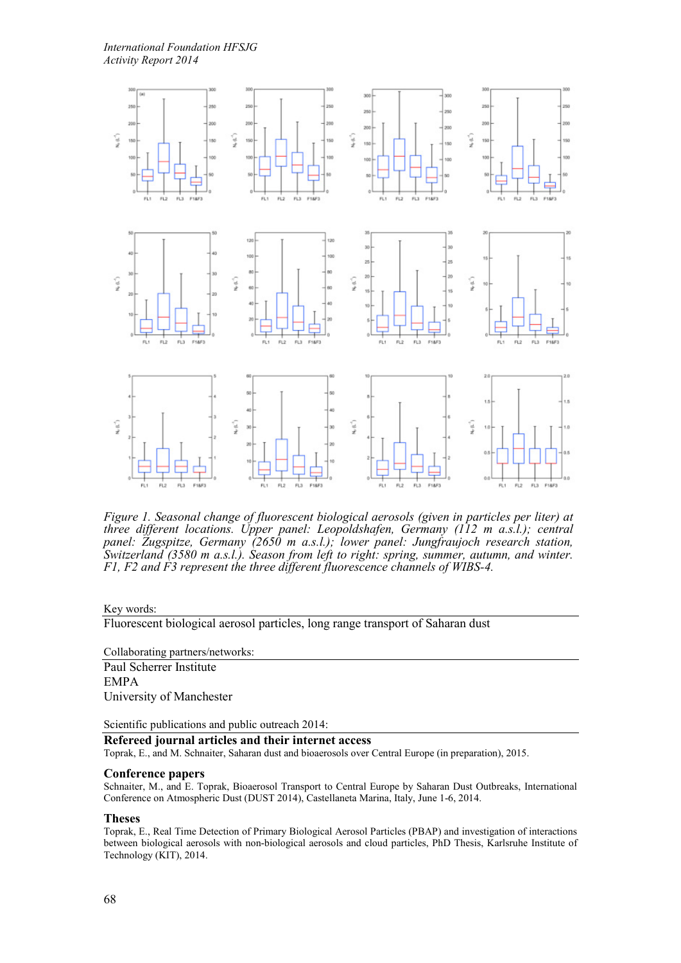

*Figure 1. Seasonal change of fluorescent biological aerosols (given in particles per liter) at three different locations. Upper panel: Leopoldshafen, Germany (112 m a.s.l.); central panel: Zugspitze, Germany (2650 m a.s.l.); lower panel: Jungfraujoch research station, Switzerland (3580 m a.s.l.). Season from left to right: spring, summer, autumn, and winter. F1, F2 and F3 represent the three different fluorescence channels of WIBS-4.*

Key words:

Fluorescent biological aerosol particles, long range transport of Saharan dust

Collaborating partners/networks: Paul Scherrer Institute EMPA University of Manchester

Scientific publications and public outreach 2014:

**Refereed journal articles and their internet access**

Toprak, E., and M. Schnaiter, Saharan dust and bioaerosols over Central Europe (in preparation), 2015.

## **Conference papers**

Schnaiter, M., and E. Toprak, Bioaerosol Transport to Central Europe by Saharan Dust Outbreaks, International Conference on Atmospheric Dust (DUST 2014), Castellaneta Marina, Italy, June 1-6, 2014.

## **Theses**

Toprak, E., Real Time Detection of Primary Biological Aerosol Particles (PBAP) and investigation of interactions between biological aerosols with non-biological aerosols and cloud particles, PhD Thesis, Karlsruhe Institute of Technology (KIT), 2014.